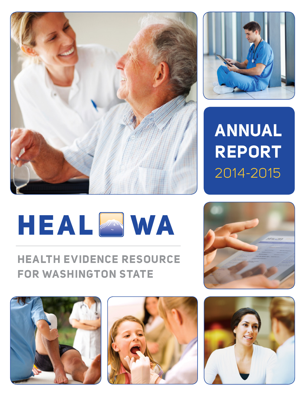



# **HEALTH EVIDENCE RESOURCE FOR WASHINGTON STATE**







**ANNUAL REPORT** 2014-2015



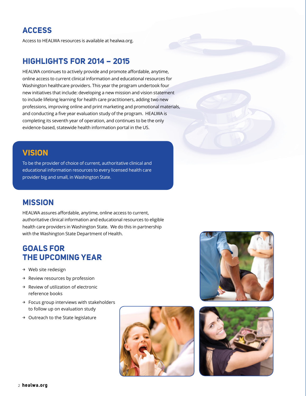# **ACCESS**

Access to HEALWA resources is available at healwa.org.

### **HIGHLIGHTS FOR 2014 – 2015**

HEALWA continues to actively provide and promote affordable, anytime, online access to current clinical information and educational resources for Washington healthcare providers. This year the program undertook four new initiatives that include: developing a new mission and vision statement to include lifelong learning for health care practitioners, adding two new professions, improving online and print marketing and promotional materials, and conducting a five year evaluation study of the program. HEALWA is completing its seventh year of operation, and continues to be the only evidence-based, statewide health information portal in the US.

### **VISION**

To be the provider of choice of current, authoritative clinical and educational information resources to every licensed health care provider big and small, in Washington State.

## **MISSION**

HEALWA assures affordable, anytime, online access to current, authoritative clinical information and educational resources to eligible health care providers in Washington State. We do this in partnership with the Washington State Department of Health.

## **GOALS FOR THE UPCOMING YEAR**

- → Web site redesign
- → Review resources by profession
- → Review of utilization of electronic reference books
- → Focus group interviews with stakeholders to follow up on evaluation study
- → Outreach to the State legislature





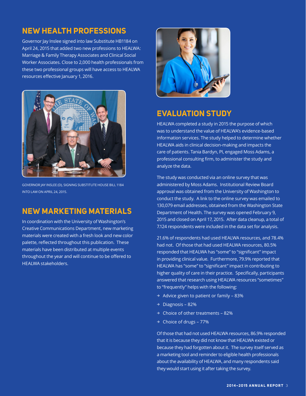# **NEW HEALTH PROFESSIONS**

Governor Jay Inslee signed into law Substitute HB1184 on April 24, 2015 that added two new professions to HEALWA: Marriage & Family Therapy Associates and Clinical Social Worker Associates. Close to 2,000 health professionals from these two professional groups will have access to HEALWA resources effective January 1, 2016.



GOVERNOR JAY INSLEE (D), SIGNING SUBSTITUTE HOUSE BILL 1184 INTO LAW ON APRIL 24, 2015.

### **NEW MARKETING MATERIALS**

In coordination with the University of Washington's Creative Communications Department, new marketing materials were created with a fresh look and new color palette, reflected throughout this publication. These materials have been distributed at multiple events throughout the year and will continue to be offered to HEALWA stakeholders.



## **EVALUATION STUDY**

HEALWA completed a study in 2015 the purpose of which was to understand the value of HEALWA's evidence-based information services. The study helped to determine whether HEALWA aids in clinical decision-making and impacts the care of patients. Tania Bardyn, PI, engaged Moss Adams, a professional consulting firm, to administer the study and analyze the data.

The study was conducted via an online survey that was administered by Moss Adams. Institutional Review Board approval was obtained from the University of Washington to conduct the study. A link to the online survey was emailed to 130,079 email addresses, obtained from the Washington State Department of Health. The survey was opened February 9, 2015 and closed on April 17, 2015. After data cleanup, a total of 7.124 respondents were included in the data set for analysis.

21.6% of respondents had used HEALWA resources, and 78.4% had not. Of those that had used HEALWA resources, 80.5% responded that HEALWA has "some" to "significant" impact in providing clinical value. Furthermore, 79.9% reported that HEALWA has "some" to "significant" impact in contributing to higher quality of care in their practice. Specifically, participants answered that research using HEALWA resources "sometimes" to "frequently" helps with the following:

- $\rightarrow$  Advice given to patient or family 83%
- → Diagnosis 82%
- $\rightarrow$  Choice of other treatments 82%
- → Choice of drugs 77%

Of those that had not used HEALWA resources, 86.9% responded that it is because they did not know that HEALWA existed or because they had forgotten about it. The survey itself served as a marketing tool and reminder to eligible health professionals about the availability of HEALWA, and many respondents said they would start using it after taking the survey.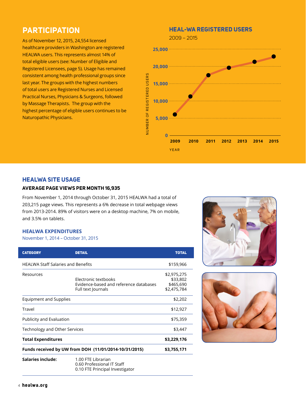## **PARTICIPATION**

As of November 12, 2015, 24,554 licensed healthcare providers in Washington are registered HEALWA users. This represents almost 14% of total eligible users (see: Number of Eligible and Registered Licensees, page 5). Usage has remained consistent among health professional groups since last year. The groups with the highest numbers of total users are Registered Nurses and Licensed Practical Nurses, Physicians & Surgeons, followed by Massage Therapists. The group with the highest percentage of eligible users continues to be Naturopathic Physicians.

### **HEAL-WA REGISTERED USERS**



### **HEALWA SITE USAGE**

### **AVERAGE PAGE VIEWS PER MONTH 16,935**

From November 1, 2014 through October 31, 2015 HEALWA had a total of 203,215 page views. This represents a 6% decrease in total webpage views from 2013-2014. 89% of visitors were on a desktop machine, 7% on mobile, and 3.5% on tablets.

#### **HEALWA EXPENDITURES**

#### November 1, 2014 – October 31, 2015

| <b>CATEGORY</b>                                       | <b>DETAIL</b>                                                                        | <b>TOTAL</b>                                        |
|-------------------------------------------------------|--------------------------------------------------------------------------------------|-----------------------------------------------------|
| <b>HEALWA Staff Salaries and Benefits</b>             |                                                                                      | \$159,966                                           |
| Resources                                             | Electronic textbooks<br>Evidence-based and reference databases<br>Full text Journals | \$2,975,275<br>\$33,802<br>\$465,690<br>\$2,475,784 |
| <b>Equipment and Supplies</b>                         |                                                                                      | \$2,202                                             |
| Travel                                                |                                                                                      | \$12,927                                            |
| Publicity and Evaluation                              |                                                                                      | \$75,359                                            |
| Technology and Other Services                         |                                                                                      | \$3,447                                             |
| <b>Total Expenditures</b>                             |                                                                                      | \$3,229,176                                         |
| Funds received by UW from DOH (11/01/2014-10/31/2015) |                                                                                      | \$3,755,171                                         |
| Salaries include:                                     | 1.00 FTE Librarian<br>0.60 Professional IT Staff<br>0.10 FTE Principal Investigator  |                                                     |



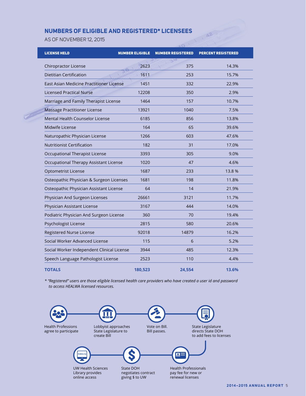### **NUMBERS OF ELIGIBLE AND REGISTERED\* LICENSEES**

AS OF NOVEMBER 12, 2015

| <b>LICENSE HELD</b>                        | <b>NUMBER ELIGIBLE</b> | <b>NUMBER REGISTERED</b> | <b>PERCENT REGISTERED</b> |
|--------------------------------------------|------------------------|--------------------------|---------------------------|
| Chiropractor License                       | 2623                   | 375                      | 14.3%                     |
| <b>Dietitian Certification</b>             | 1611                   | 253                      | 15.7%                     |
| East Asian Medicine Practitioner License   | 1451                   | 332                      | 22.9%                     |
| <b>Licensed Practical Nurse</b>            | 12208                  | 350                      | 2.9%                      |
| Marriage and Family Therapist License      | 1464                   | 157                      | 10.7%                     |
| Massage Practitioner License               | 13921                  | 1040                     | 7.5%                      |
| Mental Health Counselor License            | 6185                   | 856                      | 13.8%                     |
| Midwife License                            | 164                    | 65                       | 39.6%                     |
| Naturopathic Physician License             | 1266                   | 603                      | 47.6%                     |
| <b>Nutritionist Certification</b>          | 182                    | 31                       | 17.0%                     |
| Occupational Therapist License             | 3393                   | 305                      | 9.0%                      |
| Occupational Therapy Assistant License     | 1020                   | 47                       | 4.6%                      |
| Optometrist License                        | 1687                   | 233                      | 13.8 %                    |
| Osteopathic Physician & Surgeon Licenses   | 1681                   | 198                      | 11.8%                     |
| Osteopathic Physician Assistant License    | 64                     | 14                       | 21.9%                     |
| Physician And Surgeon Licenses             | 26661                  | 3121                     | 11.7%                     |
| Physician Assistant License                | 3167                   | 444                      | 14.0%                     |
| Podiatric Physician And Surgeon License    | 360                    | 70                       | 19.4%                     |
| Psychologist License                       | 2815                   | 580                      | 20.6%                     |
| Registered Nurse License                   | 92018                  | 14879                    | 16.2%                     |
| Social Worker Advanced License             | 115                    | 6                        | 5.2%                      |
| Social Worker Independent Clinical License | 3944                   | 485                      | 12.3%                     |
| Speech Language Pathologist License        | 2523                   | 110                      | 4.4%                      |
| <b>TOTALS</b>                              | 180,523                | 24,554                   | 13.6%                     |

A AR

*\* "Registered" users are those eligible licensed health care providers who have created a user id and password to access HEALWA licensed resources.*



Library provides online access

negotiates contract giving \$ to UW

pay fee for new or renewal licenses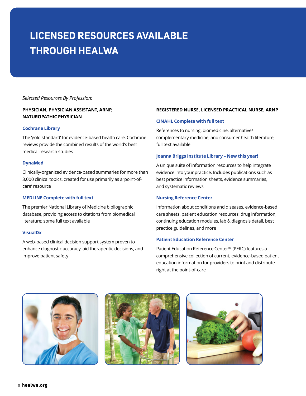# **LICENSED RESOURCES AVAILABLE THROUGH HEALWA**

#### *Selected Resources By Profession:*

#### **PHYSICIAN, PHYSICIAN ASSISTANT, ARNP, NATUROPATHIC PHYSICIAN**

#### **Cochrane Library**

The 'gold standard' for evidence-based health care, Cochrane reviews provide the combined results of the world's best medical research studies

#### **DynaMed**

Clinically-organized evidence-based summaries for more than 3,000 clinical topics, created for use primarily as a 'point-ofcare' resource

#### **MEDLINE Complete with full text**

The premier National Library of Medicine bibliographic database, providing access to citations from biomedical literature; some full text available

#### **VisualDx**

A web-based clinical decision support system proven to enhance diagnostic accuracy, aid therapeutic decisions, and improve patient safety

#### **REGISTERED NURSE, LICENSED PRACTICAL NURSE, ARNP**

#### **CINAHL Complete with full text**

References to nursing, biomedicine, alternative/ complementary medicine, and consumer health literature; full text available

#### **Joanna Briggs Institute Library – New this year!**

A unique suite of information resources to help integrate evidence into your practice. Includes publications such as best practice information sheets, evidence summaries, and systematic reviews

#### **Nursing Reference Center**

Information about conditions and diseases, evidence-based care sheets, patient education resources, drug information, continuing education modules, lab & diagnosis detail, best practice guidelines, and more

#### **Patient Education Reference Center**

Patient Education Reference Center™ (PERC) features a comprehensive collection of current, evidence-based patient education information for providers to print and distribute right at the point-of-care





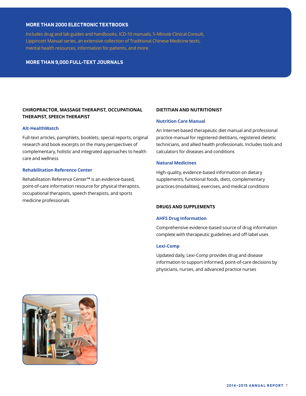#### **MORE THAN 2000 ELECTRONIC TEXTBOOKS**

Includes drug and lab guides and handbooks, ICD-10 manuals, 5-Minute Clinical Consult, Lippincott Manual series, an extensive collection of Traditional Chinese Medicine texts, mental health resources, information for patients, and more.

#### **MORE THAN 9,000 FULL-TEXT JOURNALS**

#### **CHIROPRACTOR, MASSAGE THERAPIST, OCCUPATIONAL THERAPIST, SPEECH THERAPIST**

#### **Alt-HealthWatch**

Full-text articles, pamphlets, booklets, special reports, original research and book excerpts on the many perspectives of complementary, holistic and integrated approaches to health care and wellness

#### **Rehabilitation Reference Center**

Rehabilitation Reference Center™ is an evidence-based, point-of-care information resource for physical therapists, occupational therapists, speech therapists, and sports medicine professionals

#### **DIETITIAN AND NUTRITIONIST**

#### **Nutrition Care Manual**

An Internet-based therapeutic diet manual and professional practice manual for registered dietitians, registered dietetic technicians, and allied health professionals. Includes tools and calculators for diseases and conditions

#### **Natural Medicines**

High-quality, evidence-based information on dietary supplements, functional foods, diets, complementary practices (modalities), exercises, and medical conditions

#### **DRUGS AND SUPPLEMENTS**

#### **AHFS Drug Information**

Comprehensive evidence-based source of drug information complete with therapeutic guidelines and off-label uses

#### **Lexi-Comp**

Updated daily, Lexi-Comp provides drug and disease information to support informed, point-of-care decisions by physicians, nurses, and advanced practice nurses